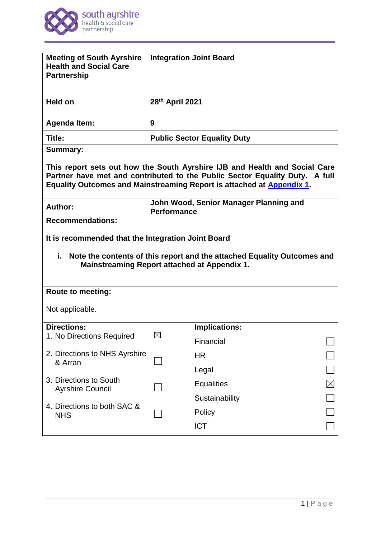

| <b>Meeting of South Ayrshire</b><br><b>Health and Social Care</b><br><b>Partnership</b>                                                                                                                                            | <b>Integration Joint Board</b>                               |                                  |  |
|------------------------------------------------------------------------------------------------------------------------------------------------------------------------------------------------------------------------------------|--------------------------------------------------------------|----------------------------------|--|
| <b>Held on</b>                                                                                                                                                                                                                     | 28th April 2021                                              |                                  |  |
| <b>Agenda Item:</b>                                                                                                                                                                                                                | 9                                                            |                                  |  |
| Title:                                                                                                                                                                                                                             | <b>Public Sector Equality Duty</b>                           |                                  |  |
| <b>Summary:</b>                                                                                                                                                                                                                    |                                                              |                                  |  |
| This report sets out how the South Ayrshire IJB and Health and Social Care<br>Partner have met and contributed to the Public Sector Equality Duty. A full<br>Equality Outcomes and Mainstreaming Report is attached at Appendix 1. |                                                              |                                  |  |
| Author:                                                                                                                                                                                                                            | John Wood, Senior Manager Planning and<br><b>Performance</b> |                                  |  |
| <b>Recommendations:</b>                                                                                                                                                                                                            |                                                              |                                  |  |
| It is recommended that the Integration Joint Board<br>i.<br>Note the contents of this report and the attached Equality Outcomes and<br><b>Mainstreaming Report attached at Appendix 1.</b>                                         |                                                              |                                  |  |
|                                                                                                                                                                                                                                    |                                                              |                                  |  |
| <b>Route to meeting:</b>                                                                                                                                                                                                           |                                                              |                                  |  |
| Not applicable.                                                                                                                                                                                                                    |                                                              |                                  |  |
| <b>Directions:</b>                                                                                                                                                                                                                 |                                                              | <b>Implications:</b>             |  |
| 1. No Directions Required                                                                                                                                                                                                          | $\boxtimes$                                                  | Financial                        |  |
| 2. Directions to NHS Ayrshire                                                                                                                                                                                                      |                                                              | <b>HR</b>                        |  |
| & Arran                                                                                                                                                                                                                            |                                                              | Legal                            |  |
| 3. Directions to South                                                                                                                                                                                                             |                                                              | $\boxtimes$<br><b>Equalities</b> |  |
| <b>Ayrshire Council</b>                                                                                                                                                                                                            |                                                              | Sustainability                   |  |
| 4. Directions to both SAC &<br><b>NHS</b>                                                                                                                                                                                          |                                                              | Policy                           |  |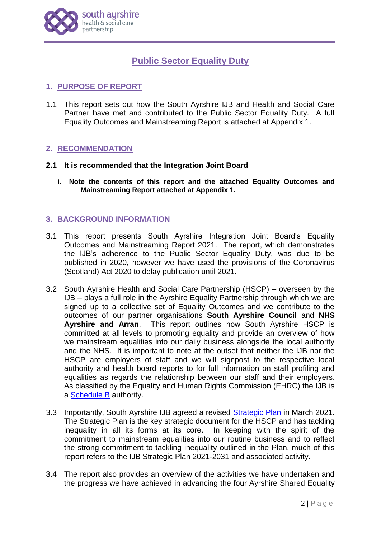

# **Public Sector Equality Duty**

# **1. PURPOSE OF REPORT**

1.1 This report sets out how the South Ayrshire IJB and Health and Social Care Partner have met and contributed to the Public Sector Equality Duty. A full Equality Outcomes and Mainstreaming Report is attached at Appendix 1.

### **2. RECOMMENDATION**

### **2.1 It is recommended that the Integration Joint Board**

**i. Note the contents of this report and the attached Equality Outcomes and Mainstreaming Report attached at Appendix 1.**

# **3. BACKGROUND INFORMATION**

- 3.1 This report presents South Ayrshire Integration Joint Board's Equality Outcomes and Mainstreaming Report 2021. The report, which demonstrates the IJB's adherence to the Public Sector Equality Duty, was due to be published in 2020, however we have used the provisions of the Coronavirus (Scotland) Act 2020 to delay publication until 2021.
- 3.2 South Ayrshire Health and Social Care Partnership (HSCP) overseen by the IJB – plays a full role in the Ayrshire Equality Partnership through which we are signed up to a collective set of Equality Outcomes and we contribute to the outcomes of our partner organisations **South Ayrshire Council** and **NHS Ayrshire and Arran**. This report outlines how South Ayrshire HSCP is committed at all levels to promoting equality and provide an overview of how we mainstream equalities into our daily business alongside the local authority and the NHS. It is important to note at the outset that neither the IJB nor the HSCP are employers of staff and we will signpost to the respective local authority and health board reports to for full information on staff profiling and equalities as regards the relationship between our staff and their employers. As classified by the Equality and Human Rights Commission (EHRC) the IJB is a [Schedule B](https://www.equalityhumanrights.com/en/public-sector-equality-duty-scotland/listed-authorities-covered-scotland-specific-duties) authority.
- 3.3 Importantly, South Ayrshire IJB agreed a revised [Strategic Plan](https://www.south-ayrshire.gov.uk/health-social-care-partnership/documents/item%208%20strategic%20plan%20final%20app1%20ijb%202021%2003%2024.pdf) in March 2021. The Strategic Plan is the key strategic document for the HSCP and has tackling inequality in all its forms at its core. In keeping with the spirit of the commitment to mainstream equalities into our routine business and to reflect the strong commitment to tackling inequality outlined in the Plan, much of this report refers to the IJB Strategic Plan 2021-2031 and associated activity.
- 3.4 The report also provides an overview of the activities we have undertaken and the progress we have achieved in advancing the four Ayrshire Shared Equality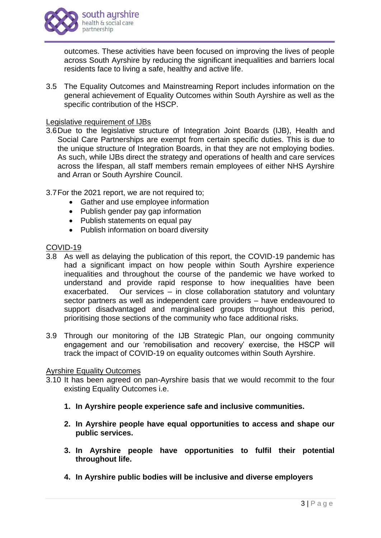

outcomes. These activities have been focused on improving the lives of people across South Ayrshire by reducing the significant inequalities and barriers local residents face to living a safe, healthy and active life.

3.5 The Equality Outcomes and Mainstreaming Report includes information on the general achievement of Equality Outcomes within South Ayrshire as well as the specific contribution of the HSCP.

### Legislative requirement of IJBs

- 3.6Due to the legislative structure of Integration Joint Boards (IJB), Health and Social Care Partnerships are exempt from certain specific duties. This is due to the unique structure of Integration Boards, in that they are not employing bodies. As such, while IJBs direct the strategy and operations of health and care services across the lifespan, all staff members remain employees of either NHS Ayrshire and Arran or South Ayrshire Council.
- 3.7For the 2021 report, we are not required to;
	- Gather and use employee information
	- Publish gender pay gap information
	- Publish statements on equal pay
	- Publish information on board diversity

#### COVID-19

- 3.8 As well as delaying the publication of this report, the COVID-19 pandemic has had a significant impact on how people within South Ayrshire experience inequalities and throughout the course of the pandemic we have worked to understand and provide rapid response to how inequalities have been exacerbated. Our services – in close collaboration statutory and voluntary sector partners as well as independent care providers – have endeavoured to support disadvantaged and marginalised groups throughout this period, prioritising those sections of the community who face additional risks.
- 3.9 Through our monitoring of the IJB Strategic Plan, our ongoing community engagement and our 'remobilisation and recovery' exercise, the HSCP will track the impact of COVID-19 on equality outcomes within South Ayrshire.

#### Ayrshire Equality Outcomes

- 3.10 It has been agreed on pan-Ayrshire basis that we would recommit to the four existing Equality Outcomes i.e.
	- **1. In Ayrshire people experience safe and inclusive communities.**
	- **2. In Ayrshire people have equal opportunities to access and shape our public services.**
	- **3. In Ayrshire people have opportunities to fulfil their potential throughout life.**
	- **4. In Ayrshire public bodies will be inclusive and diverse employers**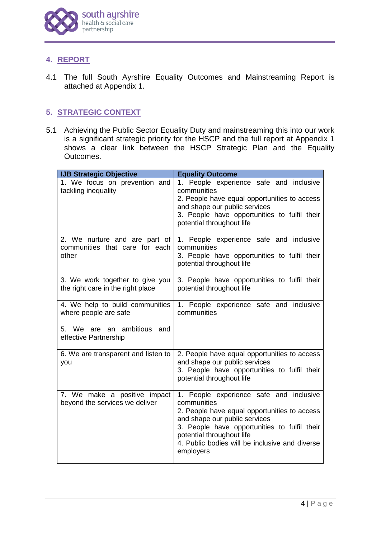

# **4. REPORT**

4.1 The full South Ayrshire Equality Outcomes and Mainstreaming Report is attached at Appendix 1.

# **5. STRATEGIC CONTEXT**

5.1 Achieving the Public Sector Equality Duty and mainstreaming this into our work is a significant strategic priority for the HSCP and the full report at Appendix 1 shows a clear link between the HSCP Strategic Plan and the Equality Outcomes.

| <b>IJB Strategic Objective</b>                                           | <b>Equality Outcome</b>                                                                                                                                                                                                                                                             |
|--------------------------------------------------------------------------|-------------------------------------------------------------------------------------------------------------------------------------------------------------------------------------------------------------------------------------------------------------------------------------|
| 1. We focus on prevention and<br>tackling inequality                     | 1. People experience safe and inclusive<br>communities<br>2. People have equal opportunities to access<br>and shape our public services<br>3. People have opportunities to fulfil their<br>potential throughout life                                                                |
| 2. We nurture and are part of<br>communities that care for each<br>other | 1. People experience safe and inclusive<br>communities<br>3. People have opportunities to fulfil their<br>potential throughout life                                                                                                                                                 |
| 3. We work together to give you<br>the right care in the right place     | 3. People have opportunities to fulfil their<br>potential throughout life                                                                                                                                                                                                           |
| 4. We help to build communities<br>where people are safe                 | 1. People experience safe and inclusive<br>communities                                                                                                                                                                                                                              |
| 5. We are an ambitious<br>and<br>effective Partnership                   |                                                                                                                                                                                                                                                                                     |
| 6. We are transparent and listen to<br>you                               | 2. People have equal opportunities to access<br>and shape our public services<br>3. People have opportunities to fulfil their<br>potential throughout life                                                                                                                          |
| 7. We make a positive impact<br>beyond the services we deliver           | 1. People experience safe and inclusive<br>communities<br>2. People have equal opportunities to access<br>and shape our public services<br>3. People have opportunities to fulfil their<br>potential throughout life<br>4. Public bodies will be inclusive and diverse<br>employers |